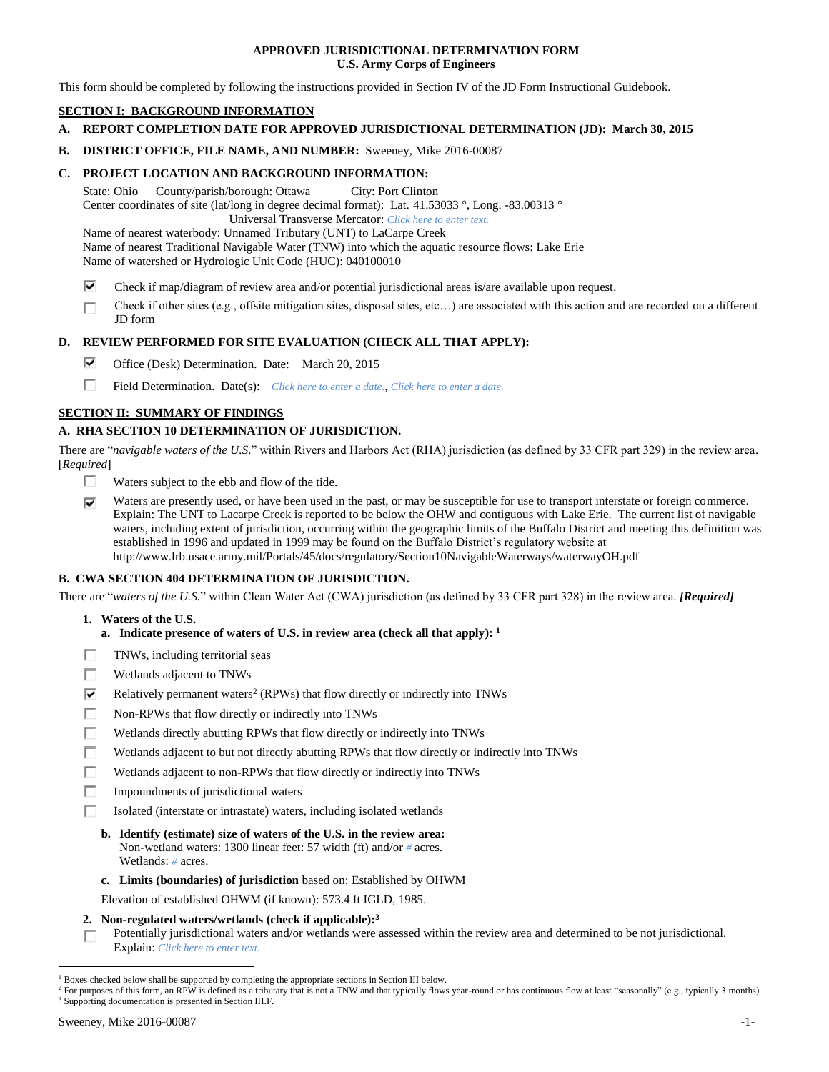## **APPROVED JURISDICTIONAL DETERMINATION FORM U.S. Army Corps of Engineers**

This form should be completed by following the instructions provided in Section IV of the JD Form Instructional Guidebook.

# **SECTION I: BACKGROUND INFORMATION**

- **A. REPORT COMPLETION DATE FOR APPROVED JURISDICTIONAL DETERMINATION (JD): March 30, 2015**
- **B. DISTRICT OFFICE, FILE NAME, AND NUMBER:** Sweeney, Mike 2016-00087

# **C. PROJECT LOCATION AND BACKGROUND INFORMATION:**

State: Ohio County/parish/borough: Ottawa City: Port Clinton Center coordinates of site (lat/long in degree decimal format): Lat. 41.53033 °, Long. -83.00313 ° Universal Transverse Mercator: *Click here to enter text.*

Name of nearest waterbody: Unnamed Tributary (UNT) to LaCarpe Creek Name of nearest Traditional Navigable Water (TNW) into which the aquatic resource flows: Lake Erie Name of watershed or Hydrologic Unit Code (HUC): 040100010

- ⊽ Check if map/diagram of review area and/or potential jurisdictional areas is/are available upon request.
- Check if other sites (e.g., offsite mitigation sites, disposal sites, etc…) are associated with this action and are recorded on a different п JD form

## **D. REVIEW PERFORMED FOR SITE EVALUATION (CHECK ALL THAT APPLY):**

- ⊽ Office (Desk) Determination. Date: March 20, 2015
- п Field Determination. Date(s): *Click here to enter a date.*, *Click here to enter a date.*

# **SECTION II: SUMMARY OF FINDINGS**

# **A. RHA SECTION 10 DETERMINATION OF JURISDICTION.**

There are "*navigable waters of the U.S.*" within Rivers and Harbors Act (RHA) jurisdiction (as defined by 33 CFR part 329) in the review area. [*Required*]

- П. Waters subject to the ebb and flow of the tide.
- ⊽ Waters are presently used, or have been used in the past, or may be susceptible for use to transport interstate or foreign commerce. Explain: The UNT to Lacarpe Creek is reported to be below the OHW and contiguous with Lake Erie. The current list of navigable waters, including extent of jurisdiction, occurring within the geographic limits of the Buffalo District and meeting this definition was established in 1996 and updated in 1999 may be found on the Buffalo District's regulatory website at http://www.lrb.usace.army.mil/Portals/45/docs/regulatory/Section10NavigableWaterways/waterwayOH.pdf

# **B. CWA SECTION 404 DETERMINATION OF JURISDICTION.**

There are "*waters of the U.S.*" within Clean Water Act (CWA) jurisdiction (as defined by 33 CFR part 328) in the review area. *[Required]*

- **1. Waters of the U.S.**
	- **a. Indicate presence of waters of U.S. in review area (check all that apply): 1**
- п TNWs, including territorial seas
- п Wetlands adjacent to TNWs
- ⊽ Relatively permanent waters<sup>2</sup> (RPWs) that flow directly or indirectly into TNWs
- П Non-RPWs that flow directly or indirectly into TNWs
- Wetlands directly abutting RPWs that flow directly or indirectly into TNWs п
- Wetlands adjacent to but not directly abutting RPWs that flow directly or indirectly into TNWs г
- Wetlands adjacent to non-RPWs that flow directly or indirectly into TNWs
- п Impoundments of jurisdictional waters
- Isolated (interstate or intrastate) waters, including isolated wetlands п.
	- **b. Identify (estimate) size of waters of the U.S. in the review area:** Non-wetland waters: 1300 linear feet: 57 width (ft) and/or *#* acres. Wetlands: *#* acres.
	- **c. Limits (boundaries) of jurisdiction** based on: Established by OHWM

Elevation of established OHWM (if known): 573.4 ft IGLD, 1985.

### **2. Non-regulated waters/wetlands (check if applicable): 3**

Potentially jurisdictional waters and/or wetlands were assessed within the review area and determined to be not jurisdictional. п Explain: *Click here to enter text.*

 $1$  Boxes checked below shall be supported by completing the appropriate sections in Section III below.

<sup>&</sup>lt;sup>2</sup> For purposes of this form, an RPW is defined as a tributary that is not a TNW and that typically flows year-round or has continuous flow at least "seasonally" (e.g., typically 3 months). <sup>3</sup> Supporting documentation is presented in Section III.F.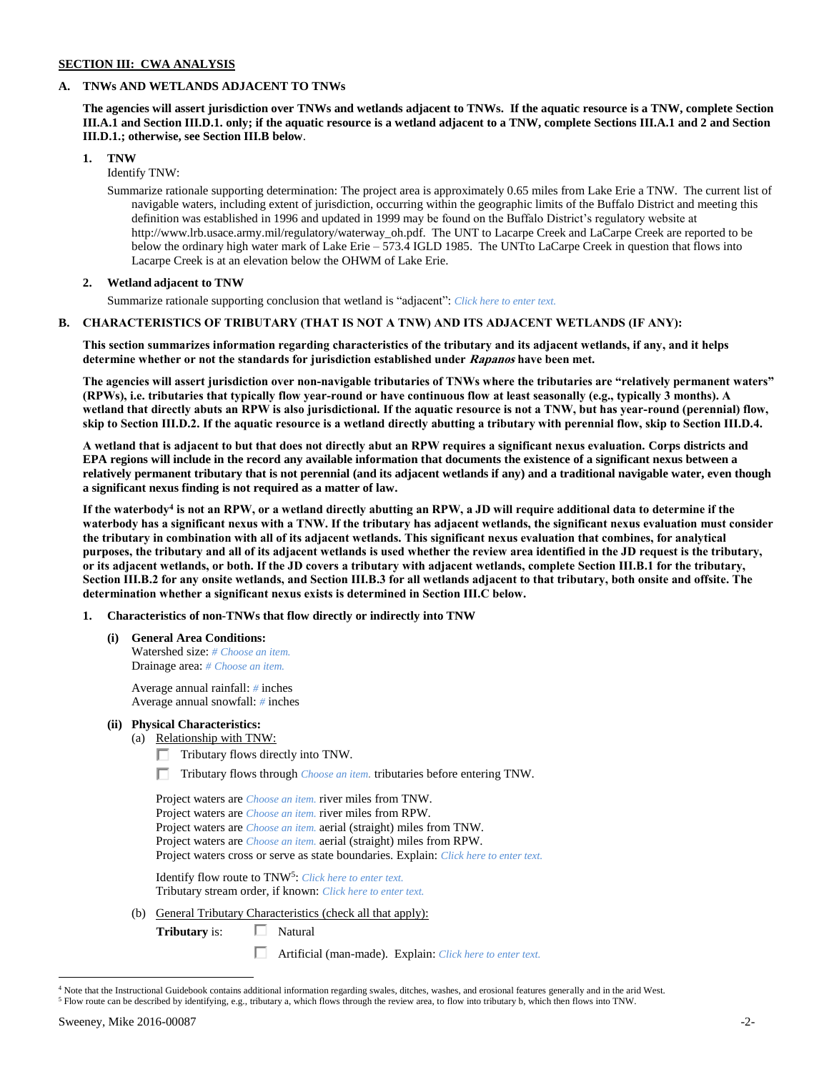## **SECTION III: CWA ANALYSIS**

### **A. TNWs AND WETLANDS ADJACENT TO TNWs**

**The agencies will assert jurisdiction over TNWs and wetlands adjacent to TNWs. If the aquatic resource is a TNW, complete Section III.A.1 and Section III.D.1. only; if the aquatic resource is a wetland adjacent to a TNW, complete Sections III.A.1 and 2 and Section III.D.1.; otherwise, see Section III.B below**.

**1. TNW** 

Identify TNW:

Summarize rationale supporting determination: The project area is approximately 0.65 miles from Lake Erie a TNW. The current list of navigable waters, including extent of jurisdiction, occurring within the geographic limits of the Buffalo District and meeting this definition was established in 1996 and updated in 1999 may be found on the Buffalo District's regulatory website at http://www.lrb.usace.army.mil/regulatory/waterway\_oh.pdf. The UNT to Lacarpe Creek and LaCarpe Creek are reported to be below the ordinary high water mark of Lake Erie – 573.4 IGLD 1985. The UNTto LaCarpe Creek in question that flows into Lacarpe Creek is at an elevation below the OHWM of Lake Erie.

# **2. Wetland adjacent to TNW**

Summarize rationale supporting conclusion that wetland is "adjacent": *Click here to enter text.*

## **B. CHARACTERISTICS OF TRIBUTARY (THAT IS NOT A TNW) AND ITS ADJACENT WETLANDS (IF ANY):**

**This section summarizes information regarding characteristics of the tributary and its adjacent wetlands, if any, and it helps determine whether or not the standards for jurisdiction established under Rapanos have been met.** 

**The agencies will assert jurisdiction over non-navigable tributaries of TNWs where the tributaries are "relatively permanent waters" (RPWs), i.e. tributaries that typically flow year-round or have continuous flow at least seasonally (e.g., typically 3 months). A wetland that directly abuts an RPW is also jurisdictional. If the aquatic resource is not a TNW, but has year-round (perennial) flow, skip to Section III.D.2. If the aquatic resource is a wetland directly abutting a tributary with perennial flow, skip to Section III.D.4.**

**A wetland that is adjacent to but that does not directly abut an RPW requires a significant nexus evaluation. Corps districts and EPA regions will include in the record any available information that documents the existence of a significant nexus between a relatively permanent tributary that is not perennial (and its adjacent wetlands if any) and a traditional navigable water, even though a significant nexus finding is not required as a matter of law.**

**If the waterbody<sup>4</sup> is not an RPW, or a wetland directly abutting an RPW, a JD will require additional data to determine if the waterbody has a significant nexus with a TNW. If the tributary has adjacent wetlands, the significant nexus evaluation must consider the tributary in combination with all of its adjacent wetlands. This significant nexus evaluation that combines, for analytical purposes, the tributary and all of its adjacent wetlands is used whether the review area identified in the JD request is the tributary, or its adjacent wetlands, or both. If the JD covers a tributary with adjacent wetlands, complete Section III.B.1 for the tributary, Section III.B.2 for any onsite wetlands, and Section III.B.3 for all wetlands adjacent to that tributary, both onsite and offsite. The determination whether a significant nexus exists is determined in Section III.C below.**

- **1. Characteristics of non-TNWs that flow directly or indirectly into TNW**
	- **(i) General Area Conditions:**

Watershed size: *# Choose an item.* Drainage area: *# Choose an item.*

Average annual rainfall: *#* inches Average annual snowfall: *#* inches

- **(ii) Physical Characteristics:**
	- (a) Relationship with TNW:
		- Tributary flows directly into TNW.
		- Tributary flows through *Choose an item.* tributaries before entering TNW.

Project waters are *Choose an item.* river miles from TNW. Project waters are *Choose an item.* river miles from RPW. Project waters are *Choose an item.* aerial (straight) miles from TNW. Project waters are *Choose an item.* aerial (straight) miles from RPW. Project waters cross or serve as state boundaries. Explain: *Click here to enter text.*

Identify flow route to TNW<sup>5</sup>: Click here to enter text. Tributary stream order, if known: *Click here to enter text.*

(b) General Tributary Characteristics (check all that apply):

**Tributary** is:  $\Box$  Natural

Artificial (man-made). Explain: *Click here to enter text.*

<sup>4</sup> Note that the Instructional Guidebook contains additional information regarding swales, ditches, washes, and erosional features generally and in the arid West.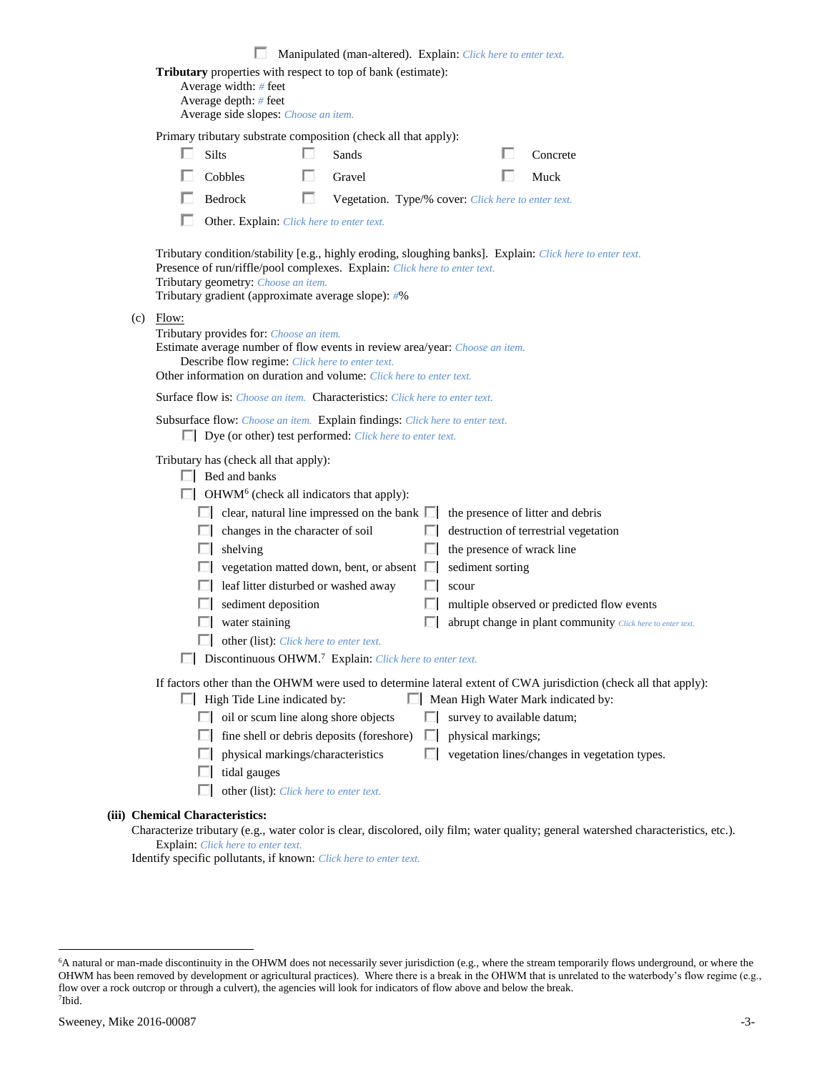|             |                                                                                                                                                                                                                                                                                     |   | Manipulated (man-altered). Explain: Click here to enter text. |   |                            |                                                            |  |
|-------------|-------------------------------------------------------------------------------------------------------------------------------------------------------------------------------------------------------------------------------------------------------------------------------------|---|---------------------------------------------------------------|---|----------------------------|------------------------------------------------------------|--|
|             | Tributary properties with respect to top of bank (estimate):<br>Average width: # feet<br>Average depth: # feet<br>Average side slopes: Choose an item.                                                                                                                              |   |                                                               |   |                            |                                                            |  |
|             | Primary tributary substrate composition (check all that apply):                                                                                                                                                                                                                     |   |                                                               |   |                            |                                                            |  |
|             | Silts                                                                                                                                                                                                                                                                               | ш | Sands                                                         |   |                            | Concrete                                                   |  |
|             | Cobbles                                                                                                                                                                                                                                                                             |   | Gravel                                                        |   |                            | Muck                                                       |  |
|             | Bedrock                                                                                                                                                                                                                                                                             | ш | Vegetation. Type/% cover: Click here to enter text.           |   |                            |                                                            |  |
|             | Other. Explain: Click here to enter text.                                                                                                                                                                                                                                           |   |                                                               |   |                            |                                                            |  |
|             | Tributary condition/stability [e.g., highly eroding, sloughing banks]. Explain: Click here to enter text.<br>Presence of run/riffle/pool complexes. Explain: Click here to enter text.<br>Tributary geometry: Choose an item.<br>Tributary gradient (approximate average slope): #% |   |                                                               |   |                            |                                                            |  |
| $(c)$ Flow: | Tributary provides for: Choose an item.<br>Estimate average number of flow events in review area/year: Choose an item.<br>Describe flow regime: Click here to enter text.<br>Other information on duration and volume: Click here to enter text.                                    |   |                                                               |   |                            |                                                            |  |
|             | <b>Surface flow is:</b> <i>Choose an item.</i> <b>Characteristics:</b> <i>Click here to enter text.</i>                                                                                                                                                                             |   |                                                               |   |                            |                                                            |  |
|             | Subsurface flow: Choose an item. Explain findings: Click here to enter text.<br>$\Box$ Dye (or other) test performed: <i>Click here to enter text.</i>                                                                                                                              |   |                                                               |   |                            |                                                            |  |
|             | Tributary has (check all that apply):<br>$\Box$ Bed and banks<br>$\Box$ OHWM <sup>6</sup> (check all indicators that apply):                                                                                                                                                        |   |                                                               |   |                            |                                                            |  |
|             | $\Box$ clear, natural line impressed on the bank $\Box$                                                                                                                                                                                                                             |   |                                                               |   |                            | the presence of litter and debris                          |  |
|             | $\Box$ changes in the character of soil                                                                                                                                                                                                                                             |   |                                                               |   |                            | destruction of terrestrial vegetation                      |  |
|             | shelving                                                                                                                                                                                                                                                                            |   |                                                               |   | the presence of wrack line |                                                            |  |
|             |                                                                                                                                                                                                                                                                                     |   | vegetation matted down, bent, or absent $\Box$                |   | sediment sorting           |                                                            |  |
|             | leaf litter disturbed or washed away                                                                                                                                                                                                                                                |   |                                                               |   | scour                      |                                                            |  |
|             | sediment deposition                                                                                                                                                                                                                                                                 |   |                                                               |   |                            | multiple observed or predicted flow events                 |  |
|             | water staining                                                                                                                                                                                                                                                                      |   |                                                               |   |                            | abrupt change in plant community Click here to enter text. |  |
|             | other (list): Click here to enter text.                                                                                                                                                                                                                                             |   |                                                               |   |                            |                                                            |  |
|             | Discontinuous OHWM. <sup>7</sup> Explain: Click here to enter text.                                                                                                                                                                                                                 |   |                                                               |   |                            |                                                            |  |
|             | If factors other than the OHWM were used to determine lateral extent of CWA jurisdiction (check all that apply):<br>$\Box$ High Tide Line indicated by:                                                                                                                             |   |                                                               |   |                            | Mean High Water Mark indicated by:                         |  |
|             | $\Box$ oil or scum line along shore objects                                                                                                                                                                                                                                         |   |                                                               | ш | survey to available datum; |                                                            |  |
|             |                                                                                                                                                                                                                                                                                     |   | fine shell or debris deposits (foreshore)                     | ш | physical markings;         |                                                            |  |
|             | physical markings/characteristics                                                                                                                                                                                                                                                   |   |                                                               |   |                            | vegetation lines/changes in vegetation types.              |  |
|             | tidal gauges                                                                                                                                                                                                                                                                        |   |                                                               |   |                            |                                                            |  |
|             | other (list): Click here to enter text.                                                                                                                                                                                                                                             |   |                                                               |   |                            |                                                            |  |
|             | (iii) Chemical Characteristics:<br>$Chorotaria tributoru (a, a, water color is clear, dicoolored, oilu film water quality, can a real waterched characteristics.$                                                                                                                   |   |                                                               |   |                            |                                                            |  |

Characterize tributary (e.g., water color is clear, discolored, oily film; water quality; general watershed characteristics, etc.). Explain: *Click here to enter text.*

Identify specific pollutants, if known: *Click here to enter text.*

<sup>6</sup>A natural or man-made discontinuity in the OHWM does not necessarily sever jurisdiction (e.g., where the stream temporarily flows underground, or where the OHWM has been removed by development or agricultural practices). Where there is a break in the OHWM that is unrelated to the waterbody's flow regime (e.g., flow over a rock outcrop or through a culvert), the agencies will look for indicators of flow above and below the break. 7 Ibid.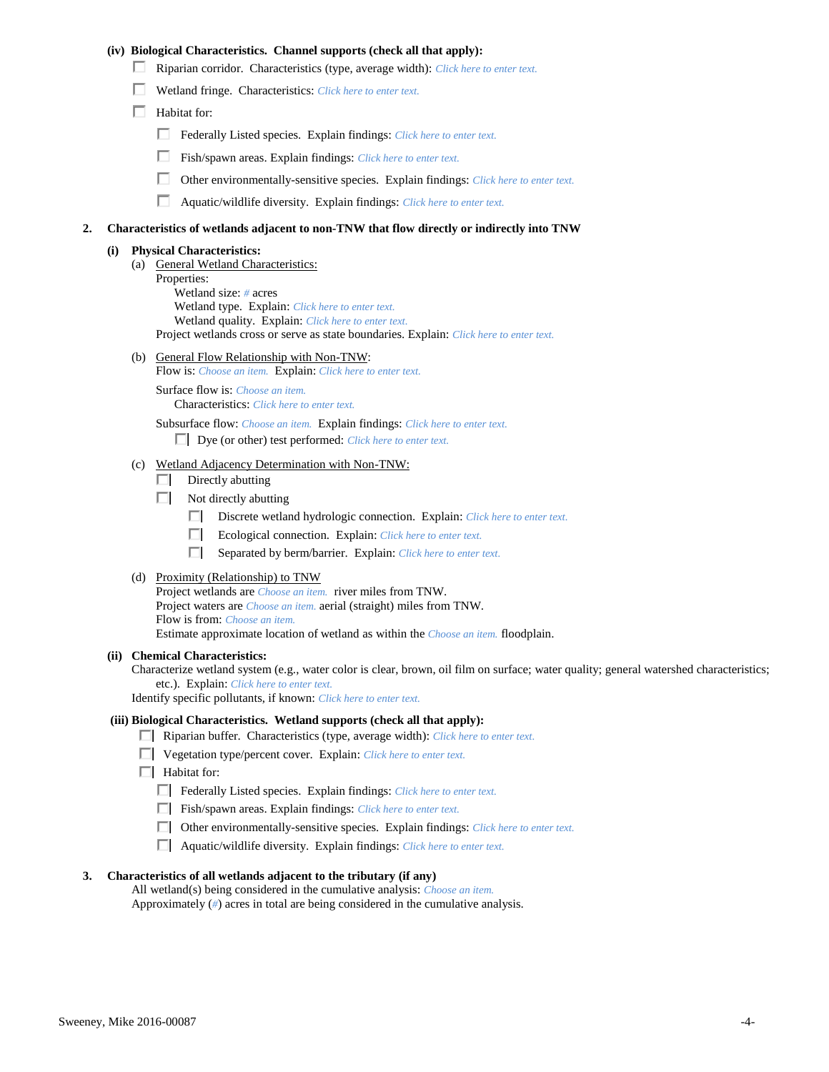## **(iv) Biological Characteristics. Channel supports (check all that apply):**

- Riparian corridor. Characteristics (type, average width): *Click here to enter text.*
- Wetland fringe. Characteristics: *Click here to enter text.*
- $\Box$  Habitat for:
	- Federally Listed species. Explain findings: *Click here to enter text.*
	- Fish/spawn areas. Explain findings: *Click here to enter text.*
	- П. Other environmentally-sensitive species. Explain findings: *Click here to enter text.*
	- П. Aquatic/wildlife diversity. Explain findings: *Click here to enter text.*

#### **2. Characteristics of wetlands adjacent to non-TNW that flow directly or indirectly into TNW**

#### **(i) Physical Characteristics:**

- (a) General Wetland Characteristics:
	- Properties:

Wetland size: *#* acres Wetland type. Explain: *Click here to enter text.*

Wetland quality. Explain: *Click here to enter text.*

Project wetlands cross or serve as state boundaries. Explain: *Click here to enter text.*

(b) General Flow Relationship with Non-TNW: Flow is: *Choose an item.* Explain: *Click here to enter text.*

Surface flow is: *Choose an item.* Characteristics: *Click here to enter text.*

Subsurface flow: *Choose an item.* Explain findings: *Click here to enter text.*

Dye (or other) test performed: *Click here to enter text.*

### (c) Wetland Adjacency Determination with Non-TNW:

- $\Box$  Directly abutting
- Not directly abutting
	- Discrete wetland hydrologic connection. Explain: *Click here to enter text.*
	- $\Box$ Ecological connection. Explain: *Click here to enter text.*
	- $\Box$ Separated by berm/barrier. Explain: *Click here to enter text.*
- (d) Proximity (Relationship) to TNW

Project wetlands are *Choose an item.* river miles from TNW. Project waters are *Choose an item.* aerial (straight) miles from TNW. Flow is from: *Choose an item.* Estimate approximate location of wetland as within the *Choose an item.* floodplain.

#### **(ii) Chemical Characteristics:**

Characterize wetland system (e.g., water color is clear, brown, oil film on surface; water quality; general watershed characteristics; etc.). Explain: *Click here to enter text.*

Identify specific pollutants, if known: *Click here to enter text.*

### **(iii) Biological Characteristics. Wetland supports (check all that apply):**

- Riparian buffer. Characteristics (type, average width): *Click here to enter text.*
- Vegetation type/percent cover. Explain: *Click here to enter text.*
- $\Box$  Habitat for:
	- Federally Listed species. Explain findings: *Click here to enter text*.
	- Fish/spawn areas. Explain findings: *Click here to enter text*.
	- Other environmentally-sensitive species. Explain findings: *Click here to enter text.*
	- Aquatic/wildlife diversity. Explain findings: *Click here to enter text.*

#### **3. Characteristics of all wetlands adjacent to the tributary (if any)**

All wetland(s) being considered in the cumulative analysis: *Choose an item.* Approximately (*#*) acres in total are being considered in the cumulative analysis.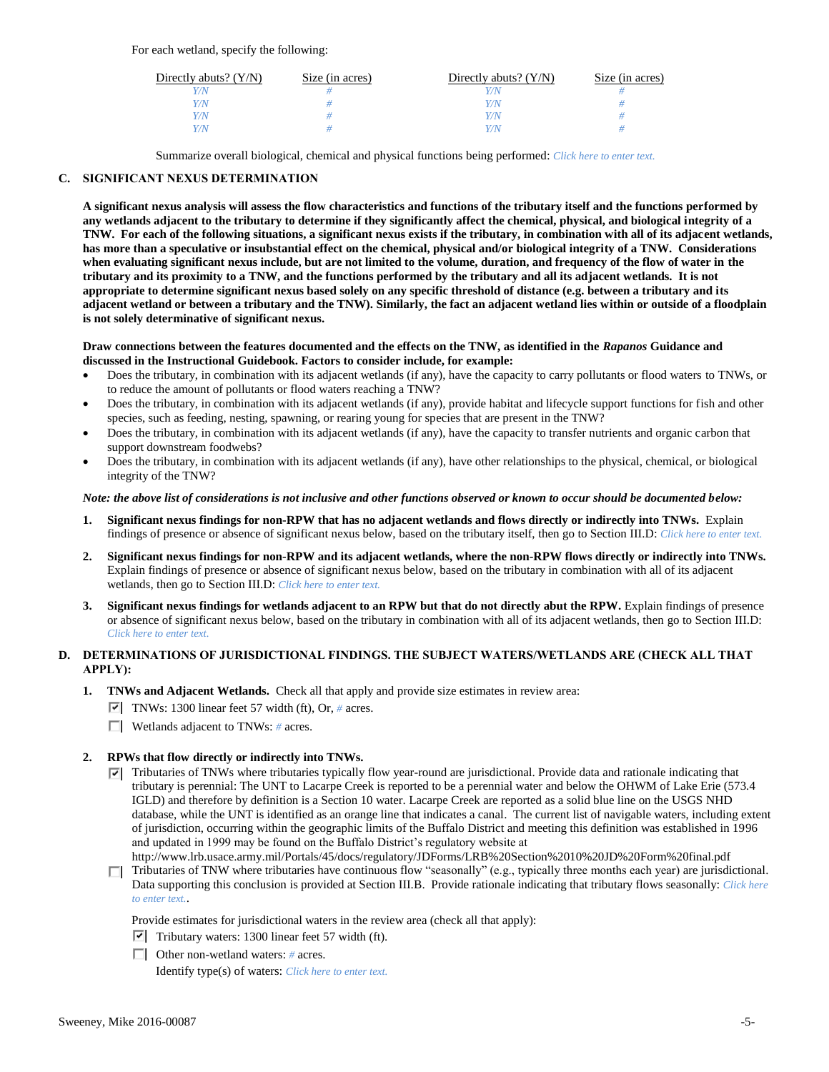For each wetland, specify the following:

| Directly abuts? $(Y/N)$ | Size (in acres) | Directly abuts? $(Y/N)$ | Size (in acres) |
|-------------------------|-----------------|-------------------------|-----------------|
|                         |                 |                         |                 |
| Y/N                     |                 | Y/N                     |                 |
| 77N                     |                 | Y/N                     |                 |
|                         |                 | 77N                     |                 |

Summarize overall biological, chemical and physical functions being performed: *Click here to enter text.*

# **C. SIGNIFICANT NEXUS DETERMINATION**

**A significant nexus analysis will assess the flow characteristics and functions of the tributary itself and the functions performed by any wetlands adjacent to the tributary to determine if they significantly affect the chemical, physical, and biological integrity of a TNW. For each of the following situations, a significant nexus exists if the tributary, in combination with all of its adjacent wetlands, has more than a speculative or insubstantial effect on the chemical, physical and/or biological integrity of a TNW. Considerations when evaluating significant nexus include, but are not limited to the volume, duration, and frequency of the flow of water in the tributary and its proximity to a TNW, and the functions performed by the tributary and all its adjacent wetlands. It is not appropriate to determine significant nexus based solely on any specific threshold of distance (e.g. between a tributary and its adjacent wetland or between a tributary and the TNW). Similarly, the fact an adjacent wetland lies within or outside of a floodplain is not solely determinative of significant nexus.** 

### **Draw connections between the features documented and the effects on the TNW, as identified in the** *Rapanos* **Guidance and discussed in the Instructional Guidebook. Factors to consider include, for example:**

- Does the tributary, in combination with its adjacent wetlands (if any), have the capacity to carry pollutants or flood waters to TNWs, or to reduce the amount of pollutants or flood waters reaching a TNW?
- Does the tributary, in combination with its adjacent wetlands (if any), provide habitat and lifecycle support functions for fish and other species, such as feeding, nesting, spawning, or rearing young for species that are present in the TNW?
- Does the tributary, in combination with its adjacent wetlands (if any), have the capacity to transfer nutrients and organic carbon that support downstream foodwebs?
- Does the tributary, in combination with its adjacent wetlands (if any), have other relationships to the physical, chemical, or biological integrity of the TNW?

## *Note: the above list of considerations is not inclusive and other functions observed or known to occur should be documented below:*

- **1. Significant nexus findings for non-RPW that has no adjacent wetlands and flows directly or indirectly into TNWs.** Explain findings of presence or absence of significant nexus below, based on the tributary itself, then go to Section III.D: *Click here to enter text.*
- **2. Significant nexus findings for non-RPW and its adjacent wetlands, where the non-RPW flows directly or indirectly into TNWs.**  Explain findings of presence or absence of significant nexus below, based on the tributary in combination with all of its adjacent wetlands, then go to Section III.D: *Click here to enter text.*
- **3. Significant nexus findings for wetlands adjacent to an RPW but that do not directly abut the RPW.** Explain findings of presence or absence of significant nexus below, based on the tributary in combination with all of its adjacent wetlands, then go to Section III.D: *Click here to enter text.*

# **D. DETERMINATIONS OF JURISDICTIONAL FINDINGS. THE SUBJECT WATERS/WETLANDS ARE (CHECK ALL THAT APPLY):**

- **1. TNWs and Adjacent Wetlands.** Check all that apply and provide size estimates in review area:
	- TNWs: 1300 linear feet 57 width (ft), Or, *#* acres.
	- Wetlands adjacent to TNWs: *#* acres.

# **2. RPWs that flow directly or indirectly into TNWs.**

- $\blacktriangledown$  Tributaries of TNWs where tributaries typically flow year-round are jurisdictional. Provide data and rationale indicating that tributary is perennial: The UNT to Lacarpe Creek is reported to be a perennial water and below the OHWM of Lake Erie (573.4 IGLD) and therefore by definition is a Section 10 water. Lacarpe Creek are reported as a solid blue line on the USGS NHD database, while the UNT is identified as an orange line that indicates a canal. The current list of navigable waters, including extent of jurisdiction, occurring within the geographic limits of the Buffalo District and meeting this definition was established in 1996 and updated in 1999 may be found on the Buffalo District's regulatory website at http://www.lrb.usace.army.mil/Portals/45/docs/regulatory/JDForms/LRB%20Section%2010%20JD%20Form%20final.pdf
- Tributaries of TNW where tributaries have continuous flow "seasonally" (e.g., typically three months each year) are jurisdictional. Data supporting this conclusion is provided at Section III.B. Provide rationale indicating that tributary flows seasonally: *Click here to enter text.*.

Provide estimates for jurisdictional waters in the review area (check all that apply):

- $\triangledown$  Tributary waters: 1300 linear feet 57 width (ft).
- Other non-wetland waters: *#* acres.

Identify type(s) of waters: *Click here to enter text.*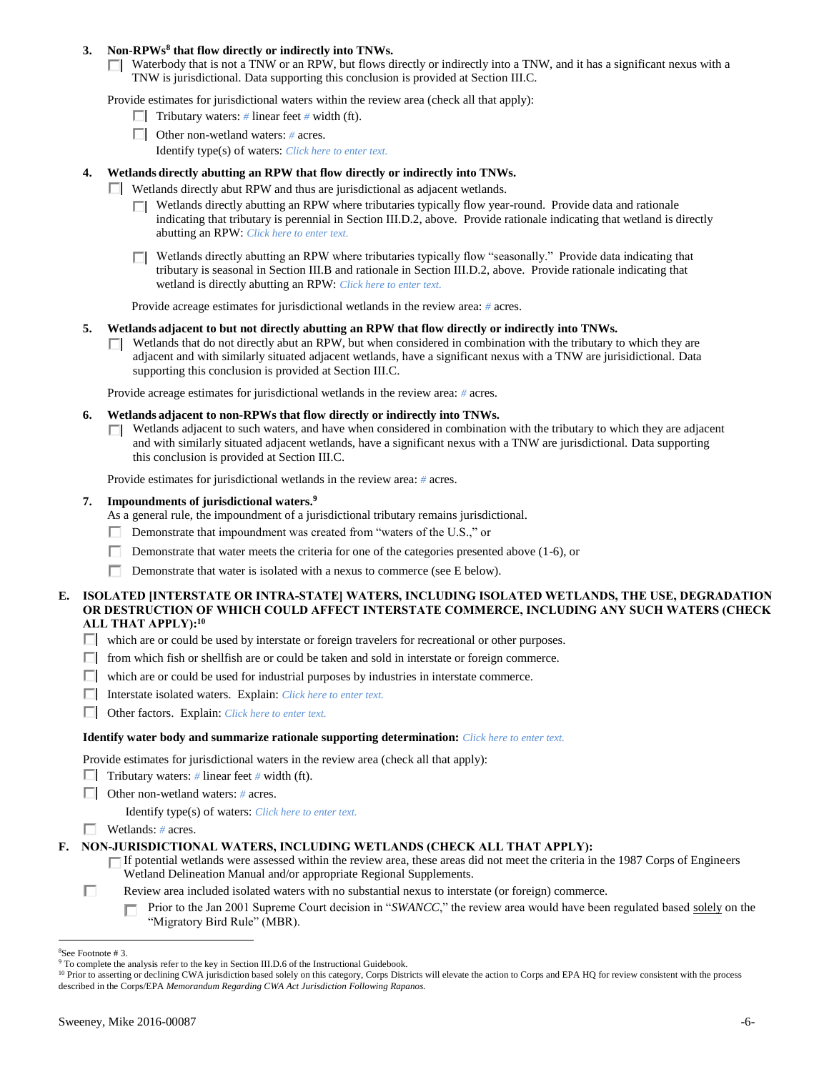## **3. Non-RPWs<sup>8</sup> that flow directly or indirectly into TNWs.**

 $\Box$  Waterbody that is not a TNW or an RPW, but flows directly or indirectly into a TNW, and it has a significant nexus with a TNW is jurisdictional. Data supporting this conclusion is provided at Section III.C.

Provide estimates for jurisdictional waters within the review area (check all that apply):

- **Tributary waters:** # linear feet # width (ft).
- Other non-wetland waters: *#* acres.
	- Identify type(s) of waters: *Click here to enter text.*

### **4. Wetlands directly abutting an RPW that flow directly or indirectly into TNWs.**

- Wetlands directly abut RPW and thus are jurisdictional as adjacent wetlands.
	- $\Box$  Wetlands directly abutting an RPW where tributaries typically flow year-round. Provide data and rationale indicating that tributary is perennial in Section III.D.2, above. Provide rationale indicating that wetland is directly abutting an RPW: *Click here to enter text.*
	- Wetlands directly abutting an RPW where tributaries typically flow "seasonally." Provide data indicating that tributary is seasonal in Section III.B and rationale in Section III.D.2, above. Provide rationale indicating that wetland is directly abutting an RPW: *Click here to enter text.*

Provide acreage estimates for jurisdictional wetlands in the review area: *#* acres.

- **5. Wetlands adjacent to but not directly abutting an RPW that flow directly or indirectly into TNWs.**
	- $\Box$  Wetlands that do not directly abut an RPW, but when considered in combination with the tributary to which they are adjacent and with similarly situated adjacent wetlands, have a significant nexus with a TNW are jurisidictional. Data supporting this conclusion is provided at Section III.C.

Provide acreage estimates for jurisdictional wetlands in the review area: *#* acres.

- **6. Wetlands adjacent to non-RPWs that flow directly or indirectly into TNWs.** 
	- $\Box$  Wetlands adjacent to such waters, and have when considered in combination with the tributary to which they are adjacent and with similarly situated adjacent wetlands, have a significant nexus with a TNW are jurisdictional. Data supporting this conclusion is provided at Section III.C.

Provide estimates for jurisdictional wetlands in the review area: *#* acres.

### **7. Impoundments of jurisdictional waters. 9**

As a general rule, the impoundment of a jurisdictional tributary remains jurisdictional.

- Demonstrate that impoundment was created from "waters of the U.S.," or
- Demonstrate that water meets the criteria for one of the categories presented above (1-6), or
- Demonstrate that water is isolated with a nexus to commerce (see E below).
- **E. ISOLATED [INTERSTATE OR INTRA-STATE] WATERS, INCLUDING ISOLATED WETLANDS, THE USE, DEGRADATION OR DESTRUCTION OF WHICH COULD AFFECT INTERSTATE COMMERCE, INCLUDING ANY SUCH WATERS (CHECK ALL THAT APPLY):<sup>10</sup>**
	- $\Box$  which are or could be used by interstate or foreign travelers for recreational or other purposes.
	- $\Box$  from which fish or shellfish are or could be taken and sold in interstate or foreign commerce.
	- $\Box$  which are or could be used for industrial purposes by industries in interstate commerce.
	- Interstate isolated waters.Explain: *Click here to enter text.*
	- Other factors.Explain: *Click here to enter text.*

#### **Identify water body and summarize rationale supporting determination:** *Click here to enter text.*

Provide estimates for jurisdictional waters in the review area (check all that apply):

- Tributary waters:  $\#$  linear feet  $\#$  width (ft).
- Other non-wetland waters: *#* acres.

Identify type(s) of waters: *Click here to enter text.*

Wetlands: *#* acres.

# **F. NON-JURISDICTIONAL WATERS, INCLUDING WETLANDS (CHECK ALL THAT APPLY):**

- If potential wetlands were assessed within the review area, these areas did not meet the criteria in the 1987 Corps of Engineers Wetland Delineation Manual and/or appropriate Regional Supplements.
- Review area included isolated waters with no substantial nexus to interstate (or foreign) commerce.
	- Prior to the Jan 2001 Supreme Court decision in "*SWANCC*," the review area would have been regulated based solely on the г "Migratory Bird Rule" (MBR).

П

<sup>8</sup>See Footnote # 3.

<sup>&</sup>lt;sup>9</sup> To complete the analysis refer to the key in Section III.D.6 of the Instructional Guidebook.

<sup>&</sup>lt;sup>10</sup> Prior to asserting or declining CWA jurisdiction based solely on this category, Corps Districts will elevate the action to Corps and EPA HQ for review consistent with the process described in the Corps/EPA *Memorandum Regarding CWA Act Jurisdiction Following Rapanos.*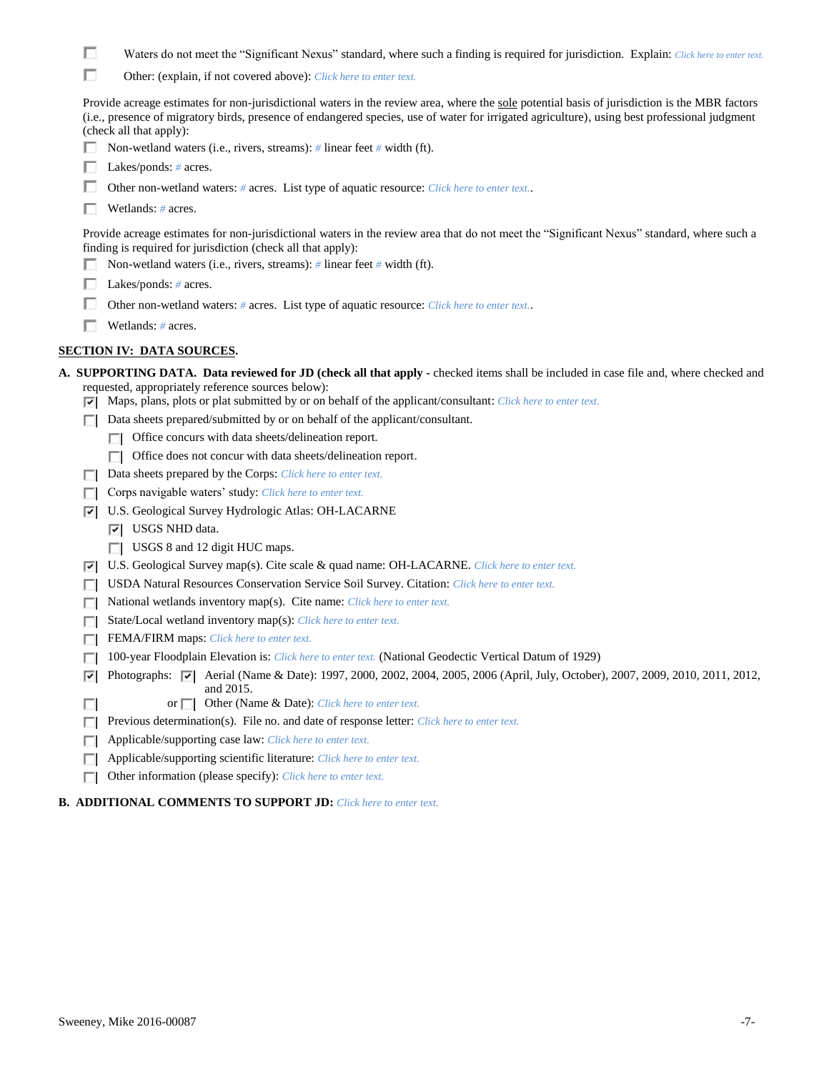|  | Waters do not meet the "Significant Nexus" standard, where such a finding is required for jurisdiction. Explain: Click here to enter text. |  |  |  |  |  |  |  |
|--|--------------------------------------------------------------------------------------------------------------------------------------------|--|--|--|--|--|--|--|
|--|--------------------------------------------------------------------------------------------------------------------------------------------|--|--|--|--|--|--|--|

|  |  | Other: (explain, if not covered above): <i>Click here to enter text</i> . |  |  |  |
|--|--|---------------------------------------------------------------------------|--|--|--|
|--|--|---------------------------------------------------------------------------|--|--|--|

Provide acreage estimates for non-jurisdictional waters in the review area, where the sole potential basis of jurisdiction is the MBR factors (i.e., presence of migratory birds, presence of endangered species, use of water for irrigated agriculture), using best professional judgment (check all that apply):

- Non-wetland waters (i.e., rivers, streams): *#* linear feet *#* width (ft).
- Lakes/ponds: *#* acres.
- Other non-wetland waters: # acres. List type of aquatic resource: *Click here to enter text.*.
- Wetlands: *#* acres.

Provide acreage estimates for non-jurisdictional waters in the review area that do not meet the "Significant Nexus" standard, where such a finding is required for jurisdiction (check all that apply):

- Non-wetland waters (i.e., rivers, streams): *#* linear feet *#* width (ft).
- Lakes/ponds: *#* acres.
- Other non-wetland waters: # acres. List type of aquatic resource: *Click here to enter text.*.
- Wetlands: *#* acres.

# **SECTION IV: DATA SOURCES.**

| A. SUPPORTING DATA. Data reviewed for JD (check all that apply - checked items shall be included in case file and, where checked and |
|--------------------------------------------------------------------------------------------------------------------------------------|
| requested, appropriately reference sources below):                                                                                   |
| $\triangleright$ Maps, plans, plots or plat submitted by or on behalf of the applicant/consultant: Click here to enter text.         |
| $\Box$ Data sheets prepared/submitted by or on behalf of the applicant/consultant.                                                   |
| Office concurs with data sheets/delineation report.<br>ш                                                                             |

- Office does not concur with data sheets/delineation report.
- Data sheets prepared by the Corps: *Click here to enter text.*
- Corps navigable waters' study: *Click here to enter text.*
- U.S. Geological Survey Hydrologic Atlas: OH-LACARNE
	- **V** USGS NHD data.
		- USGS 8 and 12 digit HUC maps.
- U.S. Geological Survey map(s). Cite scale & quad name: OH-LACARNE. *Click here to enter text.*
- USDA Natural Resources Conservation Service Soil Survey. Citation: *Click here to enter text.*
- National wetlands inventory map(s). Cite name: *Click here to enter text.*
- State/Local wetland inventory map(s): *Click here to enter text.*
- FEMA/FIRM maps: *Click here to enter text.*
- 100-year Floodplain Elevation is: *Click here to enter text.* (National Geodectic Vertical Datum of 1929)
- **P** Photographs:  $\boxed{\bullet}$  Aerial (Name & Date): 1997, 2000, 2002, 2004, 2005, 2006 (April, July, October), 2007, 2009, 2010, 2011, 2012, and 2015.
	- or  $\Box$  Other (Name & Date): *Click here to enter text.*
- **Previous determination(s). File no. and date of response letter:** *Click here to enter text.*
- Applicable/supporting case law: *Click here to enter text.*
- Applicable/supporting scientific literature: *Click here to enter text.*  $\Box$
- Other information (please specify): *Click here to enter text.*
- **B. ADDITIONAL COMMENTS TO SUPPORT JD:** *Click here to enter text.*

П